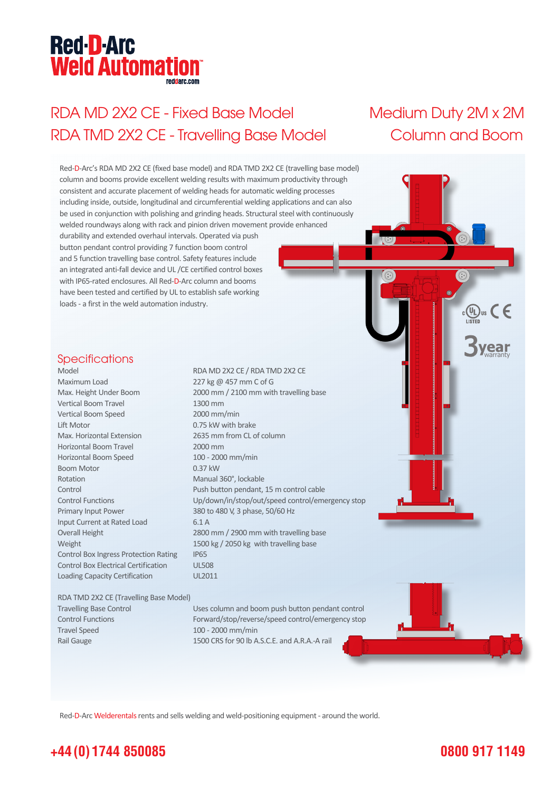# **Red-D-Arc Weld Automation®**

## RDA MD 2X2 CE - Fixed Base Model Medium Duty 2M x 2M RDA TMD 2X2 CE - Travelling Base Model Column and Boom

'ear

 $_{c}$ (V<sub>L</sub>)<sub>us</sub>  $\subset \in$ 

Red-D-Arc's RDA MD 2X2 CE (fixed base model) and RDA TMD 2X2 CE (travelling base model) column and booms provide excellent welding results with maximum productivity through consistent and accurate placement of welding heads for automatic welding processes including inside, outside, longitudinal and circumferential welding applications and can also be used in conjunction with polishing and grinding heads. Structural steel with continuously welded roundways along with rack and pinion driven movement provide enhanced durability and extended overhaul intervals. Operated via push button pendant control providing 7 function boom control and 5 function travelling base control. Safety features include an integrated anti-fall device and UL /CE certified control boxes with IP65-rated enclosures. All Red-D-Arc column and booms have been tested and certified by UL to establish safe working loads - a first in the weld automation industry. **Specifications** Model RDA MD 2X2 CE / RDA TMD 2X2 CE Maximum Load 227 kg @ 457 mm C of G Max. Height Under Boom 2000 mm / 2100 mm with travelling base Vertical Boom Travel 1300 mm Vertical Boom Speed 2000 mm/min Lift Motor 0.75 kW with brake Max. Horizontal Extension 2635 mm from CL of column Horizontal Boom Travel 2000 mm Horizontal Boom Speed 100 - 2000 mm/min Boom Motor 0.37 kW Rotation Manual 360°, lockable Control Push button pendant, 15 m control cable Control Functions Up/down/in/stop/out/speed control/emergency stop Primary Input Power 380 to 480 V, 3 phase, 50/60 Hz Input Current at Rated Load 6.1 A Overall Height 2800 mm / 2900 mm with travelling base Weight 1500 kg / 2050 kg with travelling base Control Box Ingress Protection Rating IP65 Control Box Electrical Certification UL508 Loading Capacity Certification UL2011 RDA TMD 2X2 CE (Travelling Base Model) Travelling Base Control Uses column and boom push button pendant control Control Functions Forward/stop/reverse/speed control/emergency stop Travel Speed 100 - 2000 mm/min Rail Gauge 1500 CRS for 90 lb A.S.C.E. and A.R.A.-A rail

Red-D-Arc Welderentals rents and sells welding and weld-positioning equipment - around the world.

### **+44 (0) 1744 850085**

### **0800 917 1149**